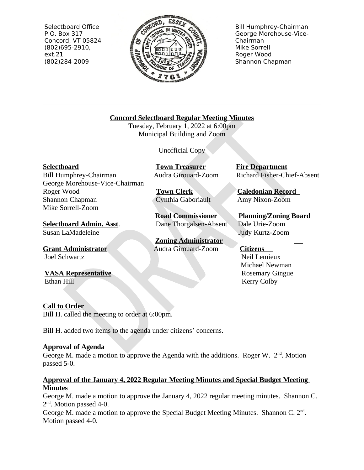Selectboard Office P.O. Box 317 Concord, VT 05824  $(802)695-2910,$  $ext.21$ (802)284-2009



**Bill Humphrey-Chairman** George Morehouse-Vice-Chairman Mike Sorrell Roger Wood Shannon Chapman

# **Concord Selectboard Regular Meeting Minutes**

Tuesday, February 1, 2022 at 6:00pm Municipal Building and Zoom

**Unofficial Copy** 

**Selectboard** 

Bill Humphrey-Chairman George Morehouse-Vice-Chairman Roger Wood Shannon Chapman Mike Sorrell-Zoom

**Selectboard Admin. Asst.** Susan LaMadeleine

**Grant Administrator** Joel Schwartz

**VASA Representative** Ethan Hill

**Call to Order** 

Bill H. called the meeting to order at 6:00pm.

Bill H. added two items to the agenda under citizens' concerns.

# **Approval of Agenda**

George M. made a motion to approve the Agenda with the additions. Roger W.  $2<sup>nd</sup>$ . Motion passed 5-0.

# Approval of the January 4, 2022 Regular Meeting Minutes and Special Budget Meeting **Minutes**

George M. made a motion to approve the January 4, 2022 regular meeting minutes. Shannon C.  $2<sup>nd</sup>$ . Motion passed 4-0.

George M. made a motion to approve the Special Budget Meeting Minutes. Shannon C. 2<sup>nd</sup>. Motion passed 4-0.

**Fire Department** Richard Fisher-Chief-Absent

**Caledonian Record** Amy Nixon-Zoom

**Planning/Zoning Board** Dale Urie-Zoom Judy Kurtz-Zoom

# **Citizens**

Neil Lemieux Michael Newman **Rosemary Gingue Kerry Colby** 

Cynthia Gaboriault

**Road Commissioner** 

Dane Thorgalsen-Absent

**Zoning Administrator** 

Audra Girouard-Zoom

**Town Clerk** 

**Town Treasurer** Audra Girouard-Zoom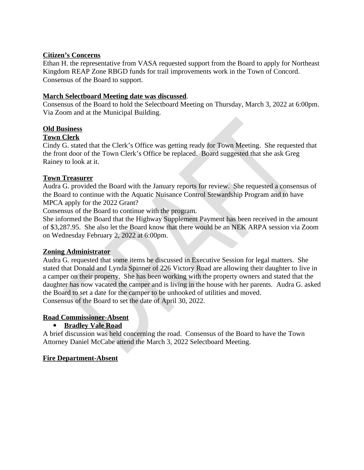# **Citizen's Concerns**

Ethan H. the representative from VASA requested support from the Board to apply for Northeast Kingdom REAP Zone RBGD funds for trail improvements work in the Town of Concord. Consensus of the Board to support.

#### **March Selectboard Meeting date was discussed.**

Consensus of the Board to hold the Selectboard Meeting on Thursday, March 3, 2022 at 6:00pm. Via Zoom and at the Municipal Building.

# **Old Business**

#### **Town Clerk**

Cindy G. stated that the Clerk's Office was getting ready for Town Meeting. She requested that the front door of the Town Clerk's Office be replaced. Board suggested that she ask Greg Rainey to look at it.

#### **Town Treasurer**

Audra G. provided the Board with the January reports for review. She requested a consensus of the Board to continue with the Aquatic Nuisance Control Stewardship Program and to have MPCA apply for the 2022 Grant?

Consensus of the Board to continue with the program.

She informed the Board that the Highway Supplement Payment has been received in the amount of \$3,287.95. She also let the Board know that there would be an NEK ARPA session via Zoom on Wednesday February 2, 2022 at 6:00pm.

#### **Zoning Administrator**

Audra G. requested that some items be discussed in Executive Session for legal matters. She stated that Donald and Lynda Spinner of 226 Victory Road are allowing their daughter to live in a camper on their property. She has been working with the property owners and stated that the daughter has now vacated the camper and is living in the house with her parents. Audra G. asked the Board to set a date for the camper to be unhooked of utilities and moved. Consensus of the Board to set the date of April 30, 2022.

#### **Road Commissioner-Absent**

# • Bradley Vale Road

A brief discussion was held concerning the road. Consensus of the Board to have the Town Attorney Daniel McCabe attend the March 3, 2022 Selectboard Meeting.

#### **Fire Department-Absent**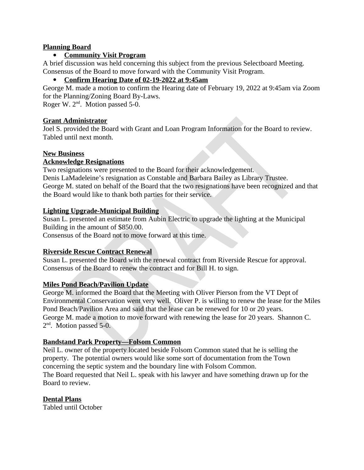#### **Planning Board**

# **Community Visit Program**

A brief discussion was held concerning this subject from the previous Selectboard Meeting. Consensus of the Board to move forward with the Community Visit Program.

#### Confirm Hearing Date of 02-19-2022 at 9:45am  $\bullet$

George M. made a motion to confirm the Hearing date of February 19, 2022 at 9:45am via Zoom for the Planning/Zoning Board By-Laws.

Roger W. 2<sup>nd</sup>. Motion passed 5-0.

#### **Grant Administrator**

Joel S. provided the Board with Grant and Loan Program Information for the Board to review. Tabled until next month.

#### **New Business**

#### **Acknowledge Resignations**

Two resignations were presented to the Board for their acknowledgement. Denis LaMadeleine's resignation as Constable and Barbara Bailey as Library Trustee. George M. stated on behalf of the Board that the two resignations have been recognized and that the Board would like to thank both parties for their service.

#### **Lighting Upgrade-Municipal Building**

Susan L. presented an estimate from Aubin Electric to upgrade the lighting at the Municipal Building in the amount of \$850.00.

Consensus of the Board not to move forward at this time.

# **Riverside Rescue Contract Renewal**

Susan L. presented the Board with the renewal contract from Riverside Rescue for approval. Consensus of the Board to renew the contract and for Bill H. to sign.

#### **Miles Pond Beach/Pavilion Update**

George M. informed the Board that the Meeting with Oliver Pierson from the VT Dept of Environmental Conservation went very well. Oliver P. is willing to renew the lease for the Miles Pond Beach/Pavilion Area and said that the lease can be renewed for 10 or 20 years. George M. made a motion to move forward with renewing the lease for 20 years. Shannon C.  $2<sup>nd</sup>$ . Motion passed 5-0.

#### **Bandstand Park Property-Folsom Common**

Neil L. owner of the property located beside Folsom Common stated that he is selling the property. The potential owners would like some sort of documentation from the Town concerning the septic system and the boundary line with Folsom Common. The Board requested that Neil L. speak with his lawyer and have something drawn up for the Board to review.

#### **Dental Plans**

**Tabled until October**